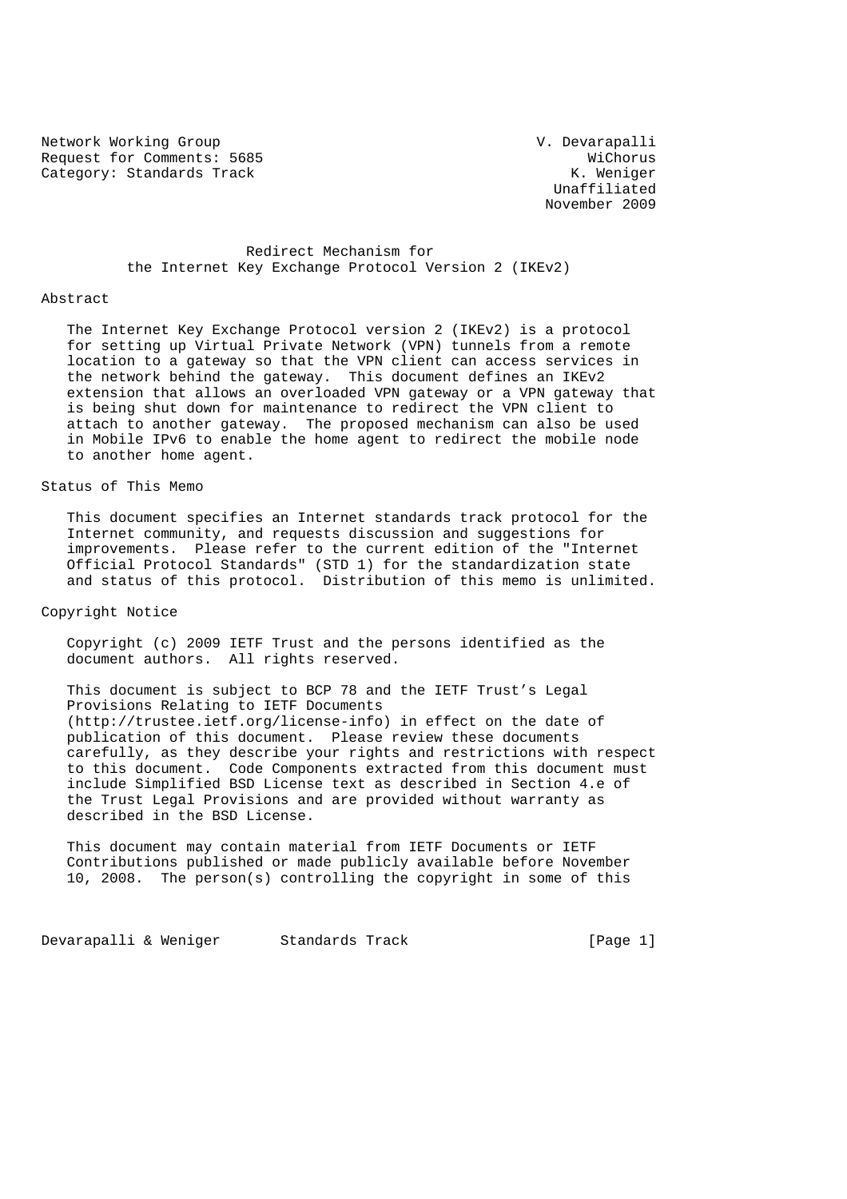Network Working Group van de version van de version van de version van de version van de version van de version Request for Comments: 5685<br>Category: Standards Track Nichorus (Mategory: Standards Track Category: Standards Track

 Unaffiliated November 2009

# Redirect Mechanism for the Internet Key Exchange Protocol Version 2 (IKEv2)

#### Abstract

 The Internet Key Exchange Protocol version 2 (IKEv2) is a protocol for setting up Virtual Private Network (VPN) tunnels from a remote location to a gateway so that the VPN client can access services in the network behind the gateway. This document defines an IKEv2 extension that allows an overloaded VPN gateway or a VPN gateway that is being shut down for maintenance to redirect the VPN client to attach to another gateway. The proposed mechanism can also be used in Mobile IPv6 to enable the home agent to redirect the mobile node to another home agent.

# Status of This Memo

 This document specifies an Internet standards track protocol for the Internet community, and requests discussion and suggestions for improvements. Please refer to the current edition of the "Internet Official Protocol Standards" (STD 1) for the standardization state and status of this protocol. Distribution of this memo is unlimited.

#### Copyright Notice

 Copyright (c) 2009 IETF Trust and the persons identified as the document authors. All rights reserved.

 This document is subject to BCP 78 and the IETF Trust's Legal Provisions Relating to IETF Documents (http://trustee.ietf.org/license-info) in effect on the date of publication of this document. Please review these documents carefully, as they describe your rights and restrictions with respect to this document. Code Components extracted from this document must include Simplified BSD License text as described in Section 4.e of the Trust Legal Provisions and are provided without warranty as described in the BSD License.

 This document may contain material from IETF Documents or IETF Contributions published or made publicly available before November 10, 2008. The person(s) controlling the copyright in some of this

Devarapalli & Weniger Standards Track [Page 1]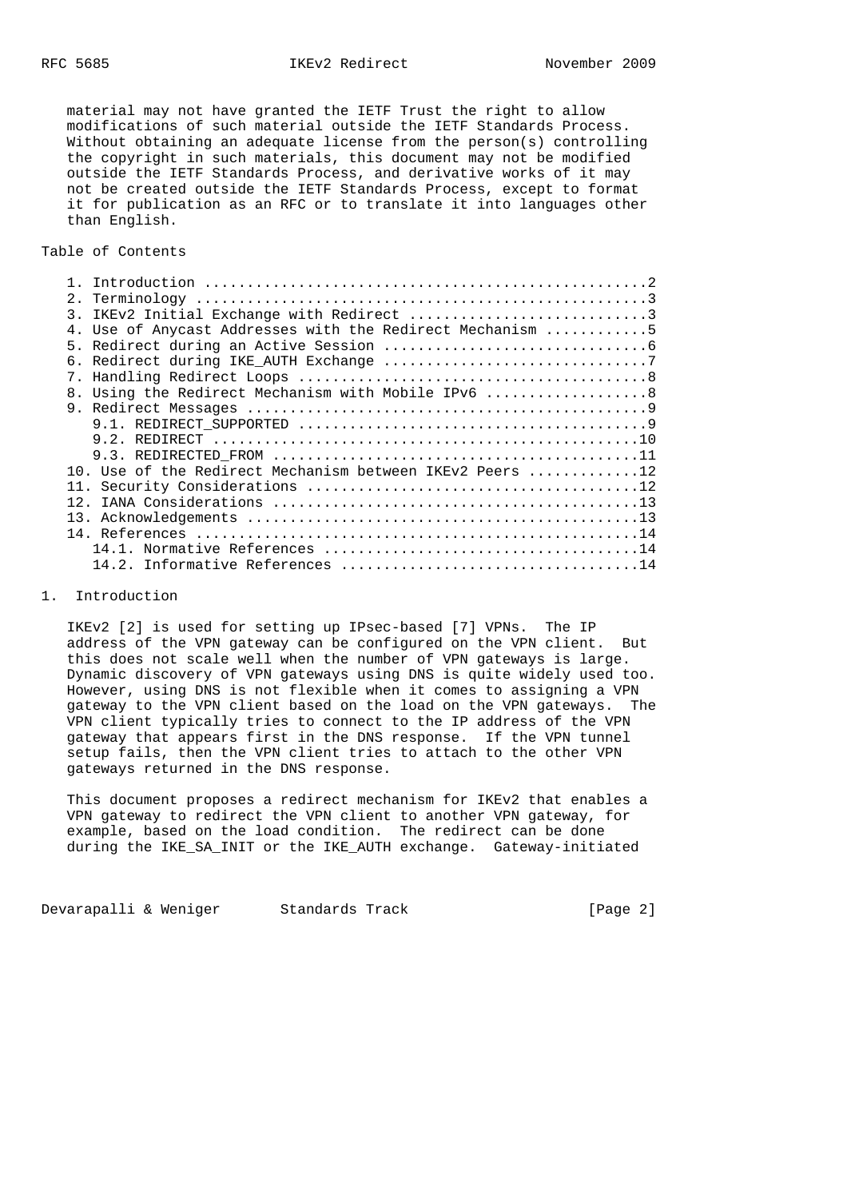material may not have granted the IETF Trust the right to allow modifications of such material outside the IETF Standards Process. Without obtaining an adequate license from the person(s) controlling the copyright in such materials, this document may not be modified outside the IETF Standards Process, and derivative works of it may not be created outside the IETF Standards Process, except to format it for publication as an RFC or to translate it into languages other than English.

Table of Contents

| $\mathcal{R}$  |                                                           |
|----------------|-----------------------------------------------------------|
|                | 4. Use of Anycast Addresses with the Redirect Mechanism 5 |
| 5 <sub>1</sub> |                                                           |
|                |                                                           |
| $7_{\odot}$    |                                                           |
| 8.             | Using the Redirect Mechanism with Mobile IPv6 8           |
| 9              |                                                           |
|                |                                                           |
|                |                                                           |
|                |                                                           |
|                | 10. Use of the Redirect Mechanism between IKEv2 Peers 12  |
|                |                                                           |
| 12             |                                                           |
|                |                                                           |
|                |                                                           |
|                |                                                           |
|                |                                                           |

## 1. Introduction

 IKEv2 [2] is used for setting up IPsec-based [7] VPNs. The IP address of the VPN gateway can be configured on the VPN client. But this does not scale well when the number of VPN gateways is large. Dynamic discovery of VPN gateways using DNS is quite widely used too. However, using DNS is not flexible when it comes to assigning a VPN gateway to the VPN client based on the load on the VPN gateways. The VPN client typically tries to connect to the IP address of the VPN gateway that appears first in the DNS response. If the VPN tunnel setup fails, then the VPN client tries to attach to the other VPN gateways returned in the DNS response.

 This document proposes a redirect mechanism for IKEv2 that enables a VPN gateway to redirect the VPN client to another VPN gateway, for example, based on the load condition. The redirect can be done during the IKE\_SA\_INIT or the IKE\_AUTH exchange. Gateway-initiated

Devarapalli & Weniger Standards Track [Page 2]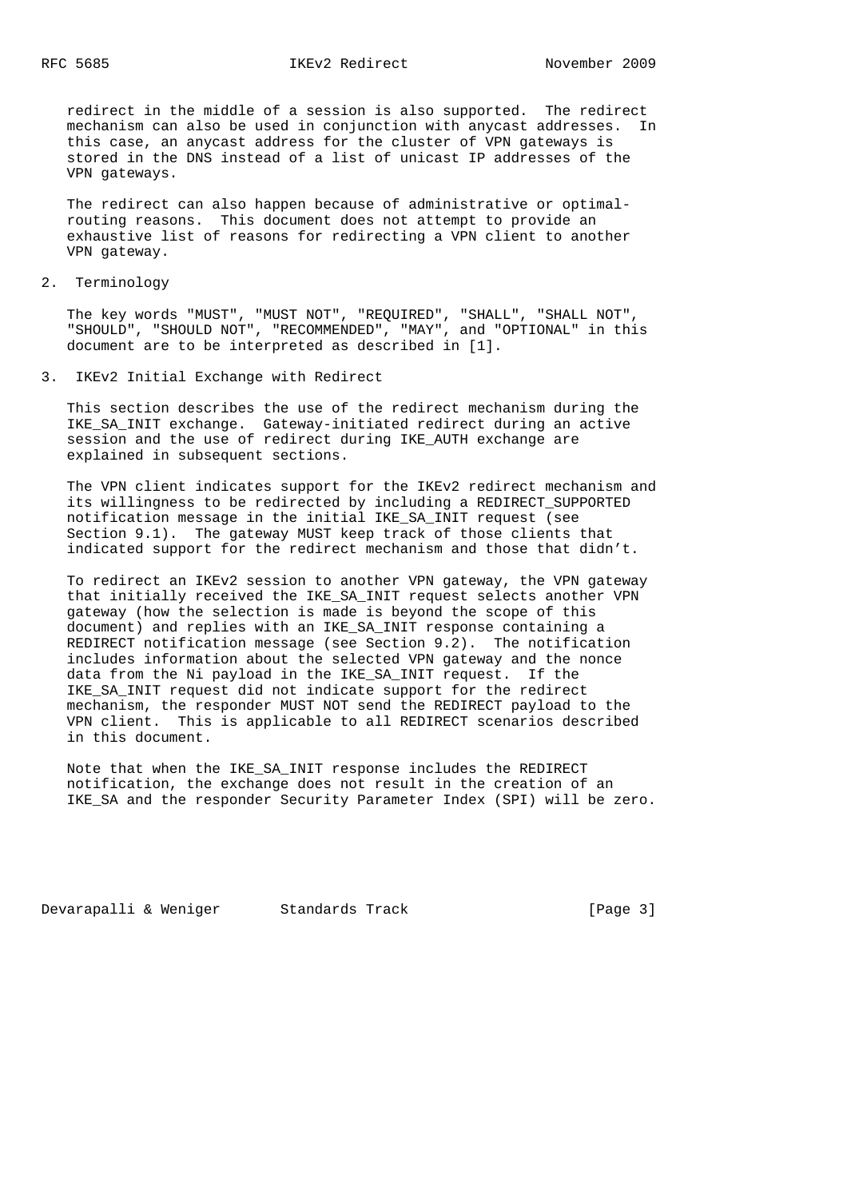redirect in the middle of a session is also supported. The redirect mechanism can also be used in conjunction with anycast addresses. In this case, an anycast address for the cluster of VPN gateways is stored in the DNS instead of a list of unicast IP addresses of the VPN gateways.

 The redirect can also happen because of administrative or optimal routing reasons. This document does not attempt to provide an exhaustive list of reasons for redirecting a VPN client to another VPN gateway.

2. Terminology

 The key words "MUST", "MUST NOT", "REQUIRED", "SHALL", "SHALL NOT", "SHOULD", "SHOULD NOT", "RECOMMENDED", "MAY", and "OPTIONAL" in this document are to be interpreted as described in [1].

3. IKEv2 Initial Exchange with Redirect

 This section describes the use of the redirect mechanism during the IKE\_SA\_INIT exchange. Gateway-initiated redirect during an active session and the use of redirect during IKE\_AUTH exchange are explained in subsequent sections.

 The VPN client indicates support for the IKEv2 redirect mechanism and its willingness to be redirected by including a REDIRECT\_SUPPORTED notification message in the initial IKE\_SA\_INIT request (see Section 9.1). The gateway MUST keep track of those clients that indicated support for the redirect mechanism and those that didn't.

 To redirect an IKEv2 session to another VPN gateway, the VPN gateway that initially received the IKE\_SA\_INIT request selects another VPN gateway (how the selection is made is beyond the scope of this document) and replies with an IKE\_SA\_INIT response containing a REDIRECT notification message (see Section 9.2). The notification includes information about the selected VPN gateway and the nonce data from the Ni payload in the IKE\_SA\_INIT request. If the IKE\_SA\_INIT request did not indicate support for the redirect mechanism, the responder MUST NOT send the REDIRECT payload to the VPN client. This is applicable to all REDIRECT scenarios described in this document.

 Note that when the IKE\_SA\_INIT response includes the REDIRECT notification, the exchange does not result in the creation of an IKE\_SA and the responder Security Parameter Index (SPI) will be zero.

Devarapalli & Weniger Standards Track [Page 3]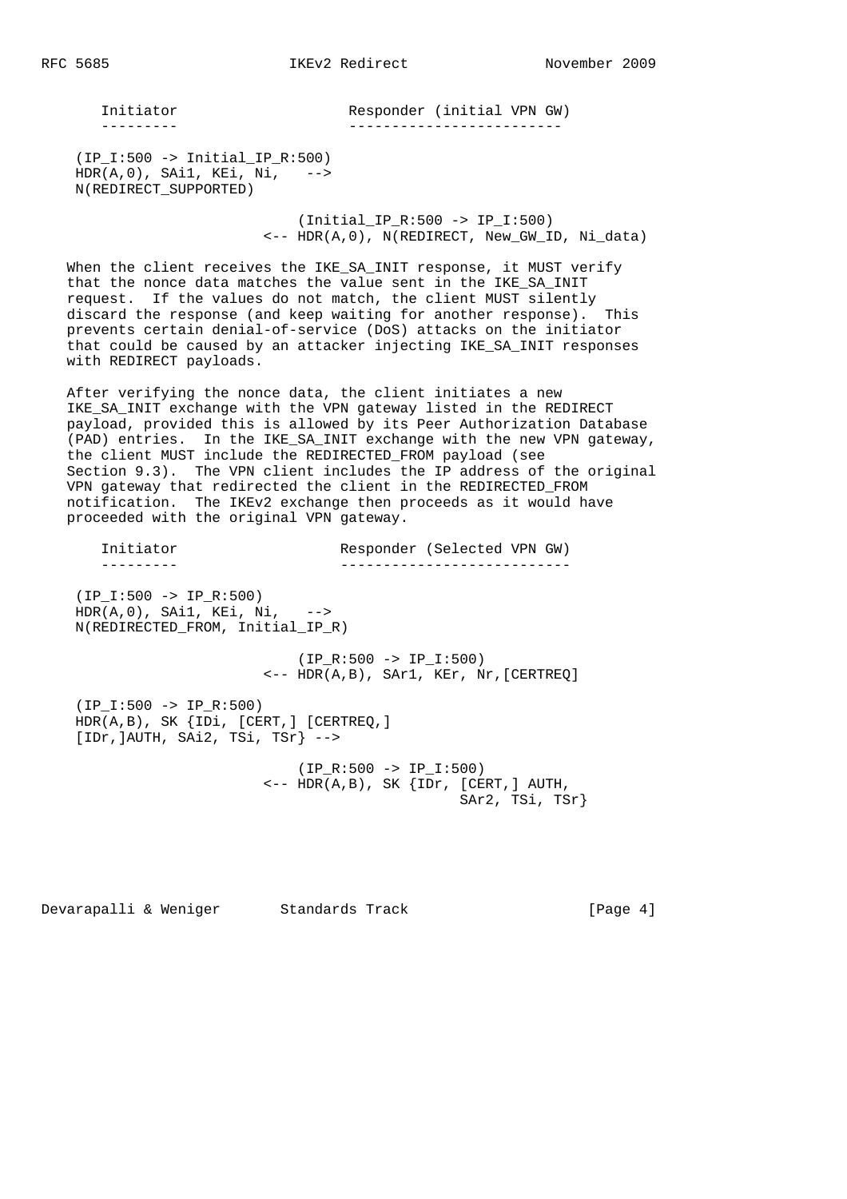Initiator Responder (initial VPN GW) --------- -------------------------

 (IP\_I:500 -> Initial\_IP\_R:500) HDR(A,0), SAi1, KEi, Ni, --> N(REDIRECT\_SUPPORTED)

> (Initial\_IP\_R:500 -> IP\_I:500)  $\leftarrow$  -- HDR(A,0), N(REDIRECT, New GW ID, Ni data)

 When the client receives the IKE\_SA\_INIT response, it MUST verify that the nonce data matches the value sent in the IKE\_SA\_INIT request. If the values do not match, the client MUST silently discard the response (and keep waiting for another response). This prevents certain denial-of-service (DoS) attacks on the initiator that could be caused by an attacker injecting IKE\_SA\_INIT responses with REDIRECT payloads.

 After verifying the nonce data, the client initiates a new IKE\_SA\_INIT exchange with the VPN gateway listed in the REDIRECT payload, provided this is allowed by its Peer Authorization Database (PAD) entries. In the IKE\_SA\_INIT exchange with the new VPN gateway, the client MUST include the REDIRECTED\_FROM payload (see Section 9.3). The VPN client includes the IP address of the original VPN gateway that redirected the client in the REDIRECTED\_FROM notification. The IKEv2 exchange then proceeds as it would have proceeded with the original VPN gateway.

 Initiator Responder (Selected VPN GW) --------- --------------------------- (IP\_I:500 -> IP\_R:500) HDR(A,0), SAi1, KEi, Ni, --> N(REDIRECTED\_FROM, Initial\_IP\_R)  $(IP R:500 -> IP I:500)$  <-- HDR(A,B), SAr1, KEr, Nr,[CERTREQ] (IP\_I:500 -> IP\_R:500) HDR(A,B), SK {IDi, [CERT,] [CERTREQ,] [IDr,]AUTH, SAi2, TSi, TSr} --> (IP\_R:500 -> IP\_I:500)  $\leftarrow -$  HDR(A,B), SK  $\{IDr, [CERT, ] AUTH,$ SAr2, TSi, TSr}

Devarapalli & Weniger Standards Track [Page 4]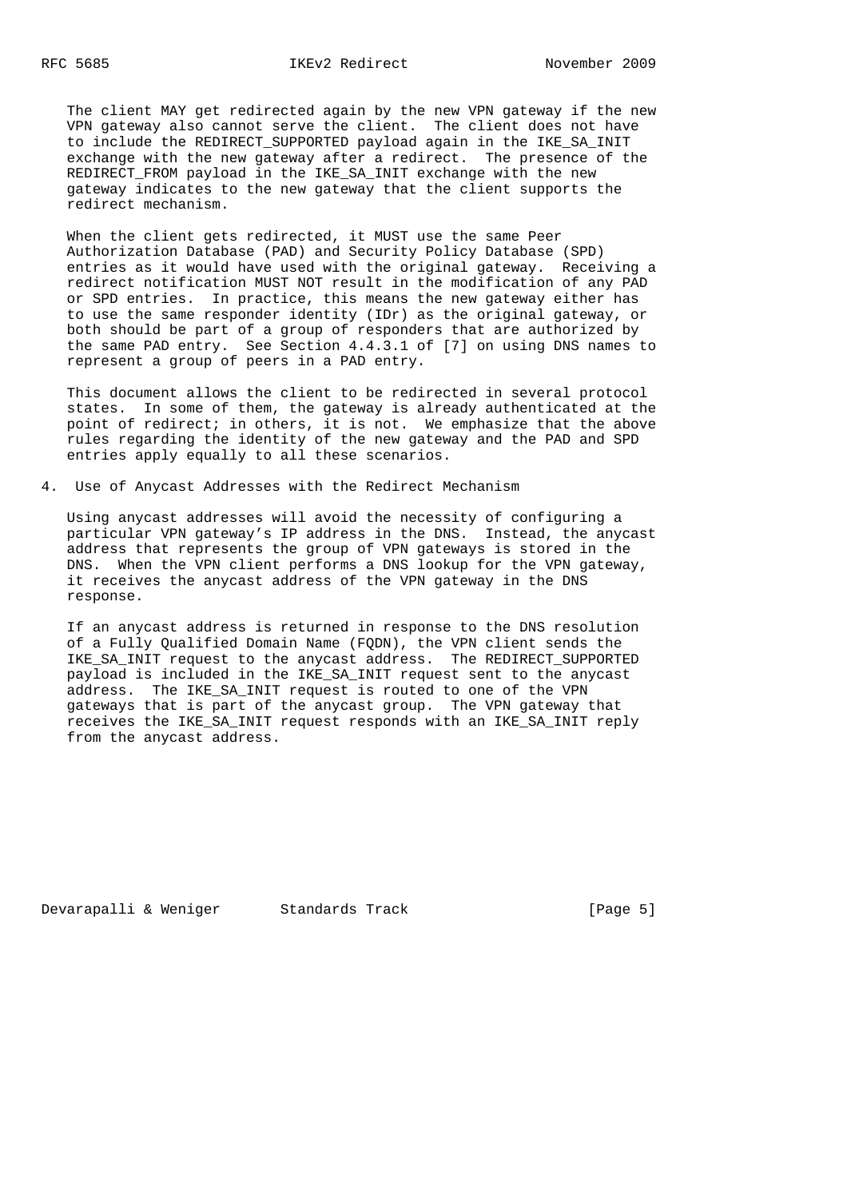The client MAY get redirected again by the new VPN gateway if the new VPN gateway also cannot serve the client. The client does not have to include the REDIRECT\_SUPPORTED payload again in the IKE\_SA\_INIT exchange with the new gateway after a redirect. The presence of the REDIRECT\_FROM payload in the IKE\_SA\_INIT exchange with the new gateway indicates to the new gateway that the client supports the redirect mechanism.

 When the client gets redirected, it MUST use the same Peer Authorization Database (PAD) and Security Policy Database (SPD) entries as it would have used with the original gateway. Receiving a redirect notification MUST NOT result in the modification of any PAD or SPD entries. In practice, this means the new gateway either has to use the same responder identity (IDr) as the original gateway, or both should be part of a group of responders that are authorized by the same PAD entry. See Section 4.4.3.1 of [7] on using DNS names to represent a group of peers in a PAD entry.

 This document allows the client to be redirected in several protocol states. In some of them, the gateway is already authenticated at the point of redirect; in others, it is not. We emphasize that the above rules regarding the identity of the new gateway and the PAD and SPD entries apply equally to all these scenarios.

4. Use of Anycast Addresses with the Redirect Mechanism

 Using anycast addresses will avoid the necessity of configuring a particular VPN gateway's IP address in the DNS. Instead, the anycast address that represents the group of VPN gateways is stored in the DNS. When the VPN client performs a DNS lookup for the VPN gateway, it receives the anycast address of the VPN gateway in the DNS response.

 If an anycast address is returned in response to the DNS resolution of a Fully Qualified Domain Name (FQDN), the VPN client sends the IKE SA INIT request to the anycast address. The REDIRECT SUPPORTED payload is included in the IKE\_SA\_INIT request sent to the anycast address. The IKE\_SA\_INIT request is routed to one of the VPN gateways that is part of the anycast group. The VPN gateway that receives the IKE\_SA\_INIT request responds with an IKE\_SA\_INIT reply from the anycast address.

Devarapalli & Weniger Standards Track (Page 5)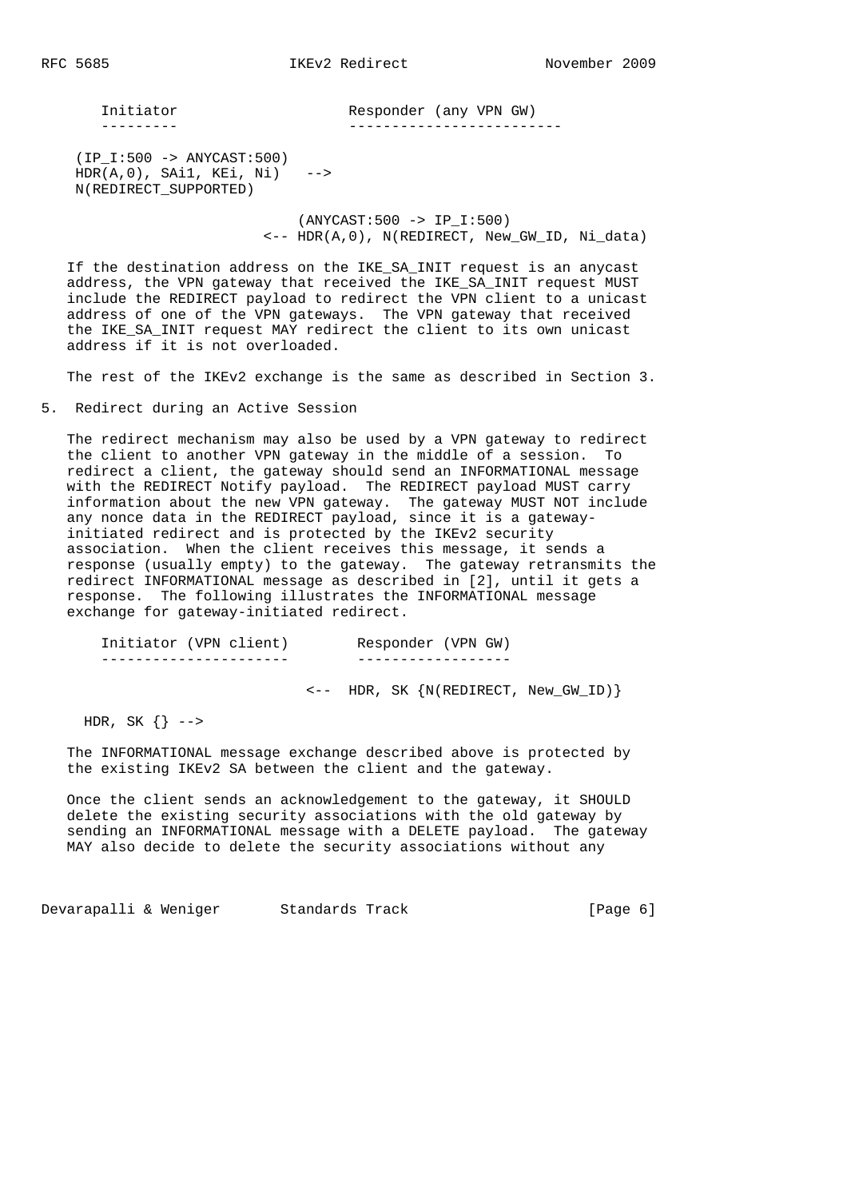Initiator Responder (any VPN GW) --------- -------------------------

 (IP\_I:500 -> ANYCAST:500) HDR(A,0), SAi1, KEi, Ni) --> N(REDIRECT\_SUPPORTED)

> (ANYCAST:500 -> IP\_I:500)  $\leftarrow$  -- HDR(A,0), N(REDIRECT, New GW ID, Ni data)

If the destination address on the IKE SA INIT request is an anycast address, the VPN gateway that received the IKE\_SA\_INIT request MUST include the REDIRECT payload to redirect the VPN client to a unicast address of one of the VPN gateways. The VPN gateway that received the IKE\_SA\_INIT request MAY redirect the client to its own unicast address if it is not overloaded.

The rest of the IKEv2 exchange is the same as described in Section 3.

5. Redirect during an Active Session

 The redirect mechanism may also be used by a VPN gateway to redirect the client to another VPN gateway in the middle of a session. To redirect a client, the gateway should send an INFORMATIONAL message with the REDIRECT Notify payload. The REDIRECT payload MUST carry information about the new VPN gateway. The gateway MUST NOT include any nonce data in the REDIRECT payload, since it is a gateway initiated redirect and is protected by the IKEv2 security association. When the client receives this message, it sends a response (usually empty) to the gateway. The gateway retransmits the redirect INFORMATIONAL message as described in [2], until it gets a response. The following illustrates the INFORMATIONAL message exchange for gateway-initiated redirect.

| Initiator (VPN client) |  |  | Responder (VPN GW)                                 |  |
|------------------------|--|--|----------------------------------------------------|--|
|                        |  |  |                                                    |  |
|                        |  |  | $\leftarrow$ - HDR, SK $\{N(REDIRECT, New_GWID)\}$ |  |

HDR, SK  $\{\}$  -->

 The INFORMATIONAL message exchange described above is protected by the existing IKEv2 SA between the client and the gateway.

 Once the client sends an acknowledgement to the gateway, it SHOULD delete the existing security associations with the old gateway by sending an INFORMATIONAL message with a DELETE payload. The gateway MAY also decide to delete the security associations without any

Devarapalli & Weniger Standards Track (Page 6)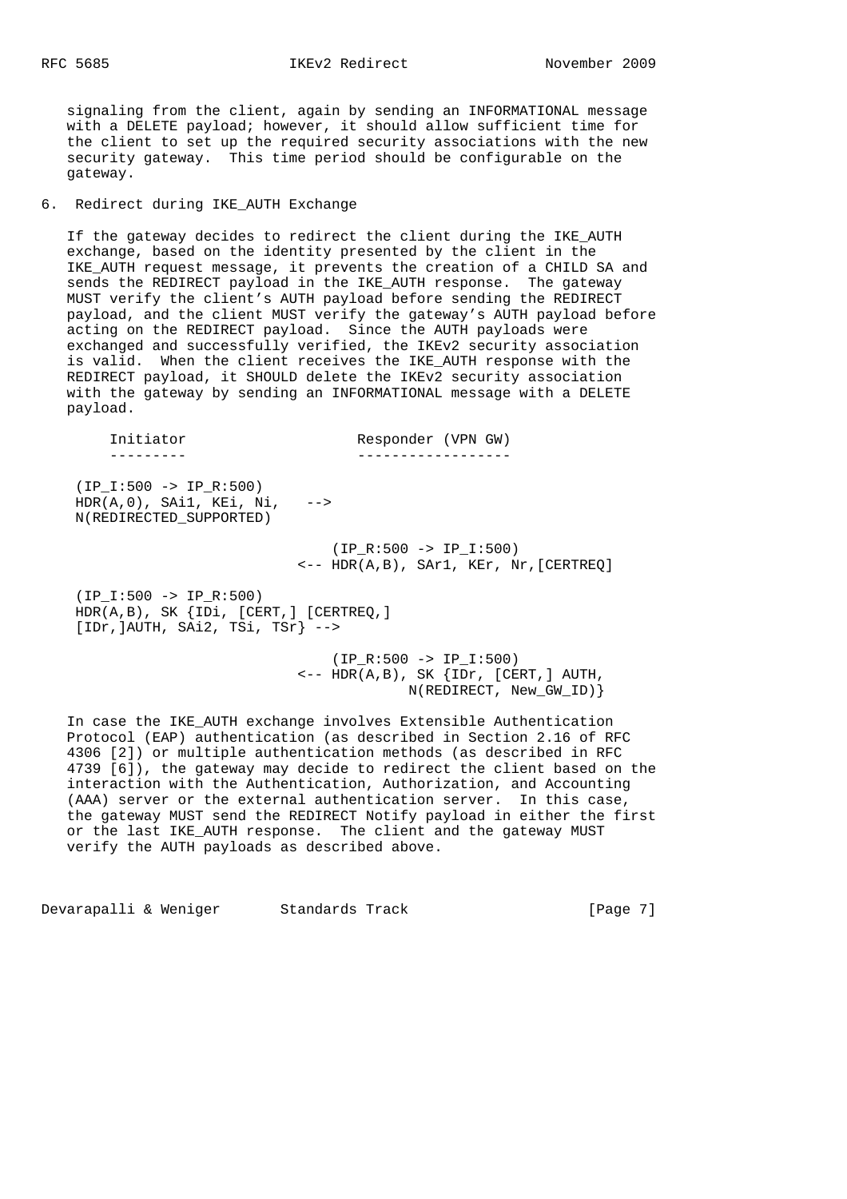signaling from the client, again by sending an INFORMATIONAL message with a DELETE payload; however, it should allow sufficient time for the client to set up the required security associations with the new security gateway. This time period should be configurable on the gateway.

6. Redirect during IKE\_AUTH Exchange

 If the gateway decides to redirect the client during the IKE\_AUTH exchange, based on the identity presented by the client in the IKE AUTH request message, it prevents the creation of a CHILD SA and sends the REDIRECT payload in the IKE\_AUTH response. The gateway MUST verify the client's AUTH payload before sending the REDIRECT payload, and the client MUST verify the gateway's AUTH payload before acting on the REDIRECT payload. Since the AUTH payloads were exchanged and successfully verified, the IKEv2 security association is valid. When the client receives the IKE\_AUTH response with the REDIRECT payload, it SHOULD delete the IKEv2 security association with the gateway by sending an INFORMATIONAL message with a DELETE payload.

| Initiator                                                                                                      | Responder (VPN GW)                                                            |
|----------------------------------------------------------------------------------------------------------------|-------------------------------------------------------------------------------|
|                                                                                                                |                                                                               |
| $(IP I:500 -> IP R:500)$<br>$HDR(A, 0)$ , $SAi1$ , $KEi$ , $Ni$ , $--$<br>N(REDIRECTED SUPPORTED)              |                                                                               |
|                                                                                                                | $(IP R:500 -> IP I:500)$<br>$\leftarrow$ - HDR(A,B), SAr1, KEr, Nr, [CERTREQ] |
| $(IP I:500 -> IP R:500)$<br>$HDR(A,B)$ , SK $\{IDi, [CERT, ] [CERTREQ, ]$<br>$[IDr,]AUTH, Shi2, TSi, TSr]$ --> |                                                                               |

 $(IP R:500 -> IP I:500)$  $\leftarrow$  -- HDR(A,B), SK  $\{IDr, [CERT, ] AUTH,$ N(REDIRECT, New\_GW\_ID)}

 In case the IKE\_AUTH exchange involves Extensible Authentication Protocol (EAP) authentication (as described in Section 2.16 of RFC 4306 [2]) or multiple authentication methods (as described in RFC 4739 [6]), the gateway may decide to redirect the client based on the interaction with the Authentication, Authorization, and Accounting (AAA) server or the external authentication server. In this case, the gateway MUST send the REDIRECT Notify payload in either the first or the last IKE\_AUTH response. The client and the gateway MUST verify the AUTH payloads as described above.

Devarapalli & Weniger Standards Track [Page 7]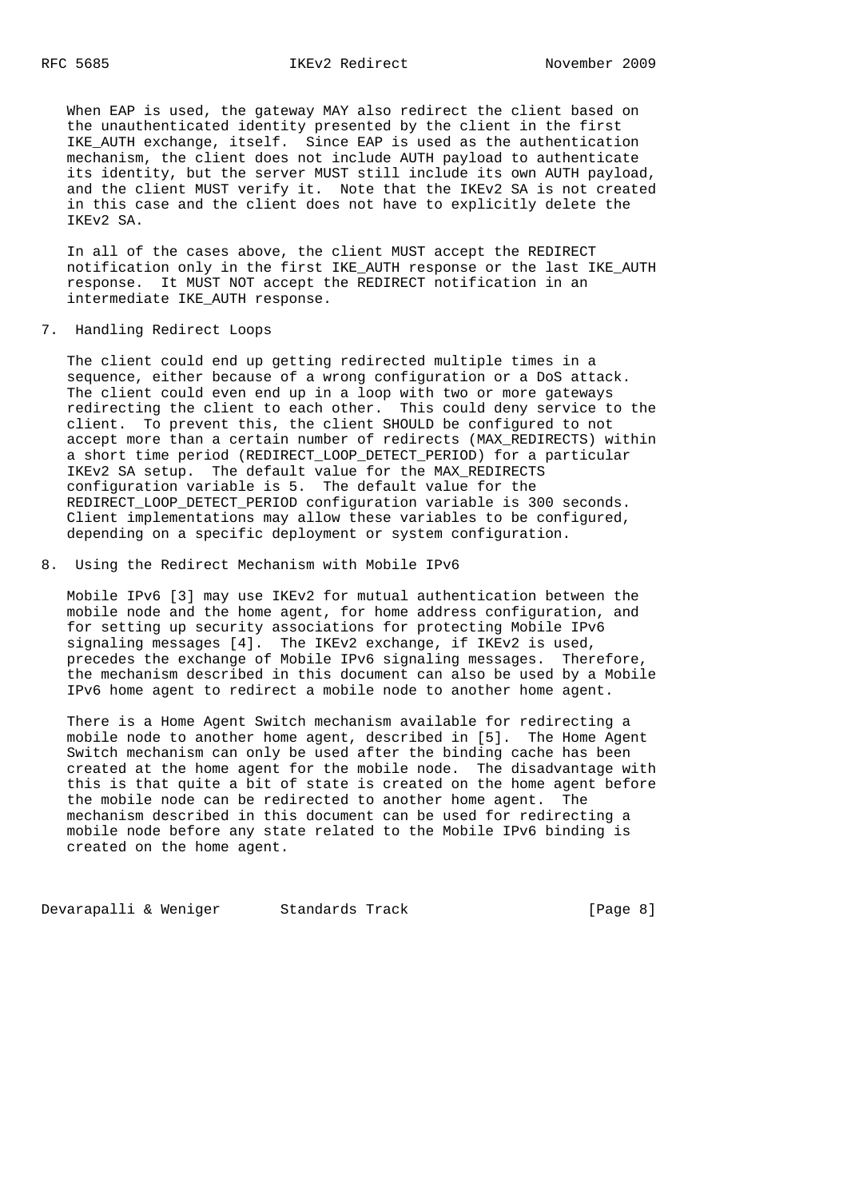When EAP is used, the gateway MAY also redirect the client based on the unauthenticated identity presented by the client in the first IKE AUTH exchange, itself. Since EAP is used as the authentication mechanism, the client does not include AUTH payload to authenticate its identity, but the server MUST still include its own AUTH payload, and the client MUST verify it. Note that the IKEv2 SA is not created in this case and the client does not have to explicitly delete the IKEv2 SA.

 In all of the cases above, the client MUST accept the REDIRECT notification only in the first IKE\_AUTH response or the last IKE\_AUTH response. It MUST NOT accept the REDIRECT notification in an intermediate IKE\_AUTH response.

7. Handling Redirect Loops

 The client could end up getting redirected multiple times in a sequence, either because of a wrong configuration or a DoS attack. The client could even end up in a loop with two or more gateways redirecting the client to each other. This could deny service to the client. To prevent this, the client SHOULD be configured to not accept more than a certain number of redirects (MAX\_REDIRECTS) within a short time period (REDIRECT\_LOOP\_DETECT\_PERIOD) for a particular IKEv2 SA setup. The default value for the MAX\_REDIRECTS configuration variable is 5. The default value for the REDIRECT\_LOOP\_DETECT\_PERIOD configuration variable is 300 seconds. Client implementations may allow these variables to be configured, depending on a specific deployment or system configuration.

8. Using the Redirect Mechanism with Mobile IPv6

 Mobile IPv6 [3] may use IKEv2 for mutual authentication between the mobile node and the home agent, for home address configuration, and for setting up security associations for protecting Mobile IPv6 signaling messages [4]. The IKEv2 exchange, if IKEv2 is used, precedes the exchange of Mobile IPv6 signaling messages. Therefore, the mechanism described in this document can also be used by a Mobile IPv6 home agent to redirect a mobile node to another home agent.

 There is a Home Agent Switch mechanism available for redirecting a mobile node to another home agent, described in [5]. The Home Agent Switch mechanism can only be used after the binding cache has been created at the home agent for the mobile node. The disadvantage with this is that quite a bit of state is created on the home agent before the mobile node can be redirected to another home agent. The mechanism described in this document can be used for redirecting a mobile node before any state related to the Mobile IPv6 binding is created on the home agent.

Devarapalli & Weniger Standards Track (Page 8)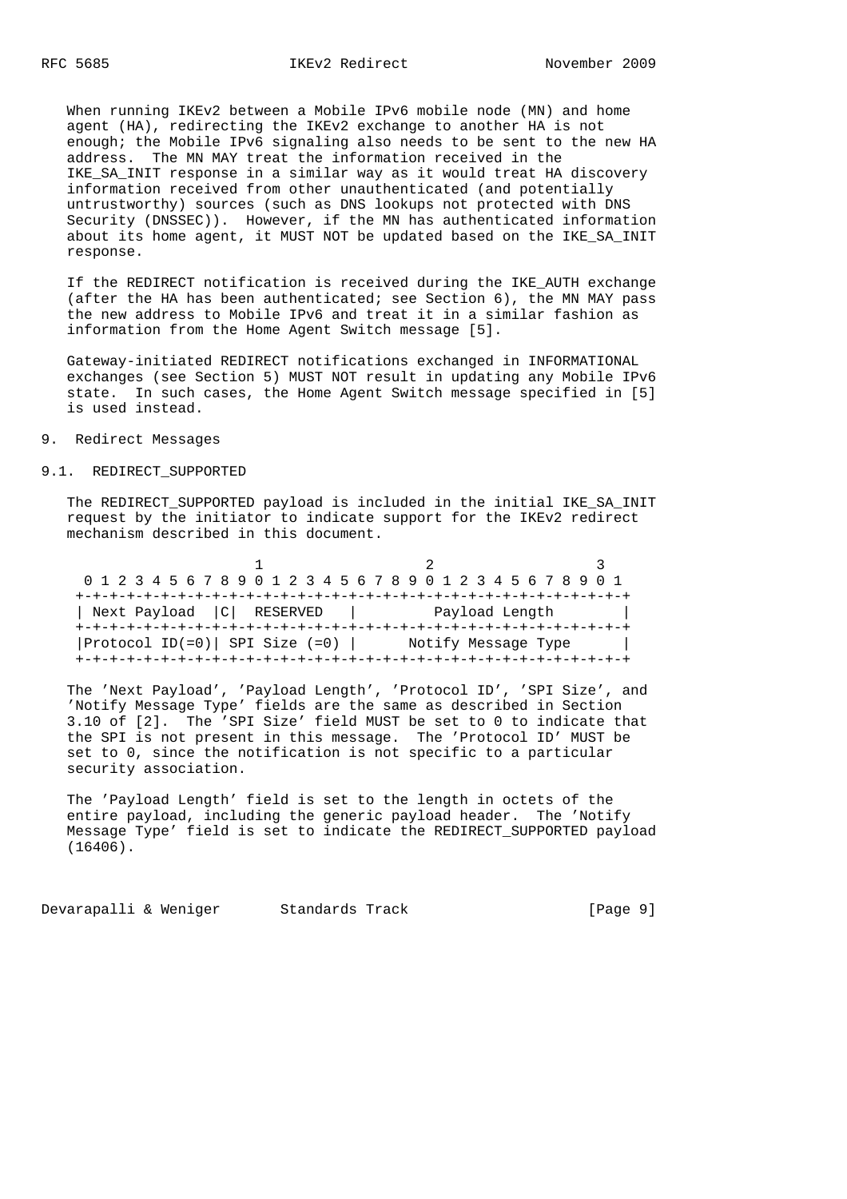#### RFC 5685 IKEv2 Redirect November 2009

 When running IKEv2 between a Mobile IPv6 mobile node (MN) and home agent (HA), redirecting the IKEv2 exchange to another HA is not enough; the Mobile IPv6 signaling also needs to be sent to the new HA address. The MN MAY treat the information received in the IKE\_SA\_INIT response in a similar way as it would treat HA discovery information received from other unauthenticated (and potentially untrustworthy) sources (such as DNS lookups not protected with DNS Security (DNSSEC)). However, if the MN has authenticated information about its home agent, it MUST NOT be updated based on the IKE\_SA\_INIT response.

 If the REDIRECT notification is received during the IKE\_AUTH exchange (after the HA has been authenticated; see Section 6), the MN MAY pass the new address to Mobile IPv6 and treat it in a similar fashion as information from the Home Agent Switch message [5].

 Gateway-initiated REDIRECT notifications exchanged in INFORMATIONAL exchanges (see Section 5) MUST NOT result in updating any Mobile IPv6 state. In such cases, the Home Agent Switch message specified in [5] is used instead.

## 9. Redirect Messages

## 9.1. REDIRECT SUPPORTED

 The REDIRECT\_SUPPORTED payload is included in the initial IKE\_SA\_INIT request by the initiator to indicate support for the IKEv2 redirect mechanism described in this document.

|                                       | 0 1 2 3 4 5 6 7 8 9 0 1 2 3 4 5 6 7 8 9 0 1 2 3 4 5 6 7 8 9 0 1 |  |
|---------------------------------------|-----------------------------------------------------------------|--|
|                                       |                                                                 |  |
| Next Payload   C   RESERVED           | Payload Length                                                  |  |
|                                       |                                                                 |  |
| $ $ Protocol ID(=0) SPI Size (=0) $ $ | Notify Message Type                                             |  |
|                                       |                                                                 |  |

 The 'Next Payload', 'Payload Length', 'Protocol ID', 'SPI Size', and 'Notify Message Type' fields are the same as described in Section 3.10 of [2]. The 'SPI Size' field MUST be set to 0 to indicate that the SPI is not present in this message. The 'Protocol ID' MUST be set to 0, since the notification is not specific to a particular security association.

 The 'Payload Length' field is set to the length in octets of the entire payload, including the generic payload header. The 'Notify Message Type' field is set to indicate the REDIRECT\_SUPPORTED payload (16406).

Devarapalli & Weniger Standards Track [Page 9]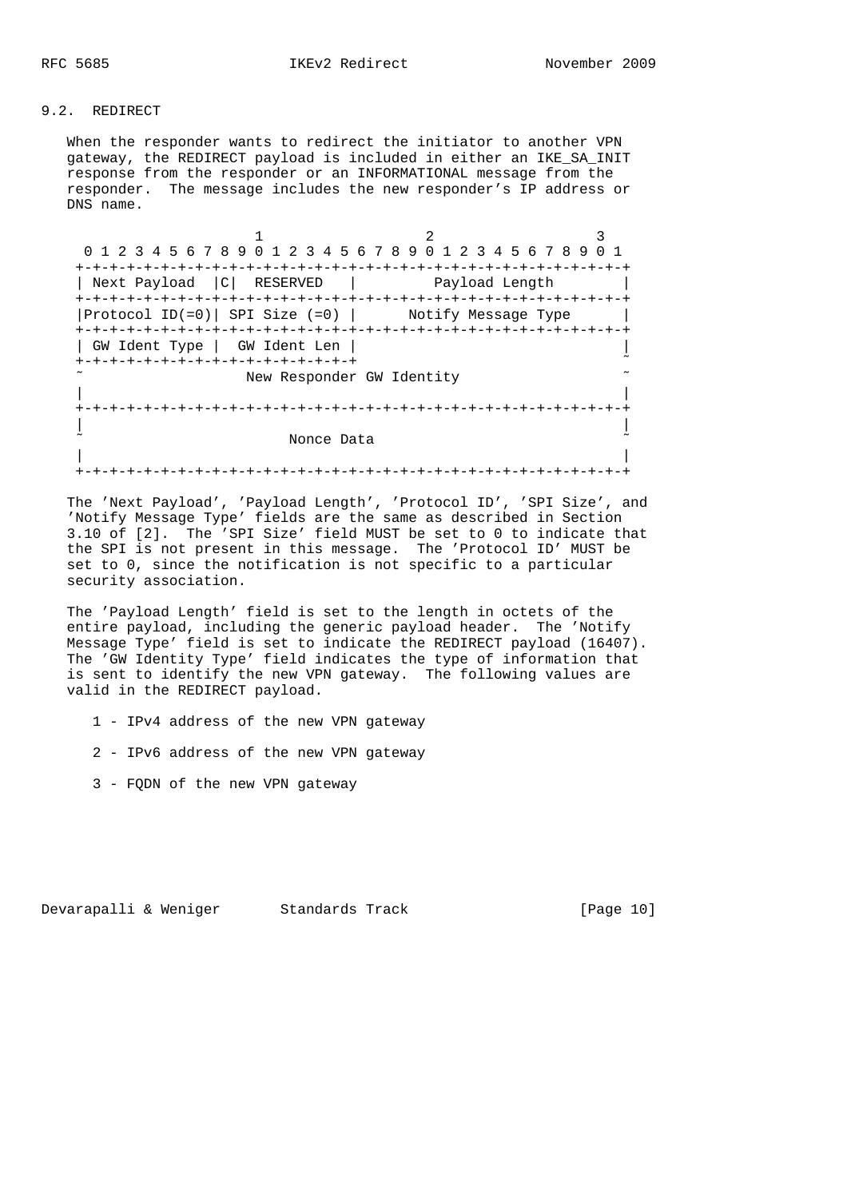# 9.2. REDIRECT

 When the responder wants to redirect the initiator to another VPN gateway, the REDIRECT payload is included in either an IKE\_SA\_INIT response from the responder or an INFORMATIONAL message from the responder. The message includes the new responder's IP address or DNS name.

1 2 3 0 1 2 3 4 5 6 7 8 9 0 1 2 3 4 5 6 7 8 9 0 1 2 3 4 5 6 7 8 9 0 1 +-+-+-+-+-+-+-+-+-+-+-+-+-+-+-+-+-+-+-+-+-+-+-+-+-+-+-+-+-+-+-+-+ | Next Payload |C| RESERVED | Payload Length | +-+-+-+-+-+-+-+-+-+-+-+-+-+-+-+-+-+-+-+-+-+-+-+-+-+-+-+-+-+-+-+-+  $|$  Protocol ID(=0) | SPI Size (=0) | Notify Message Type | +-+-+-+-+-+-+-+-+-+-+-+-+-+-+-+-+-+-+-+-+-+-+-+-+-+-+-+-+-+-+-+-+ | GW Ident Type | GW Ident Len | | +-+-+-+-+-+-+-+-+-+-+-+-+-+-+-+-+ ˜ New Responder GW Identity | | +-+-+-+-+-+-+-+-+-+-+-+-+-+-+-+-+-+-+-+-+-+-+-+-+-+-+-+-+-+-+-+-+ | | ˜ Nonce Data ˜ | | +-+-+-+-+-+-+-+-+-+-+-+-+-+-+-+-+-+-+-+-+-+-+-+-+-+-+-+-+-+-+-+-+

 The 'Next Payload', 'Payload Length', 'Protocol ID', 'SPI Size', and 'Notify Message Type' fields are the same as described in Section 3.10 of [2]. The 'SPI Size' field MUST be set to 0 to indicate that the SPI is not present in this message. The 'Protocol ID' MUST be set to 0, since the notification is not specific to a particular security association.

 The 'Payload Length' field is set to the length in octets of the entire payload, including the generic payload header. The 'Notify Message Type' field is set to indicate the REDIRECT payload (16407). The 'GW Identity Type' field indicates the type of information that is sent to identify the new VPN gateway. The following values are valid in the REDIRECT payload.

1 - IPv4 address of the new VPN gateway

- 2 IPv6 address of the new VPN gateway
- 3 FQDN of the new VPN gateway

Devarapalli & Weniger Standards Track [Page 10]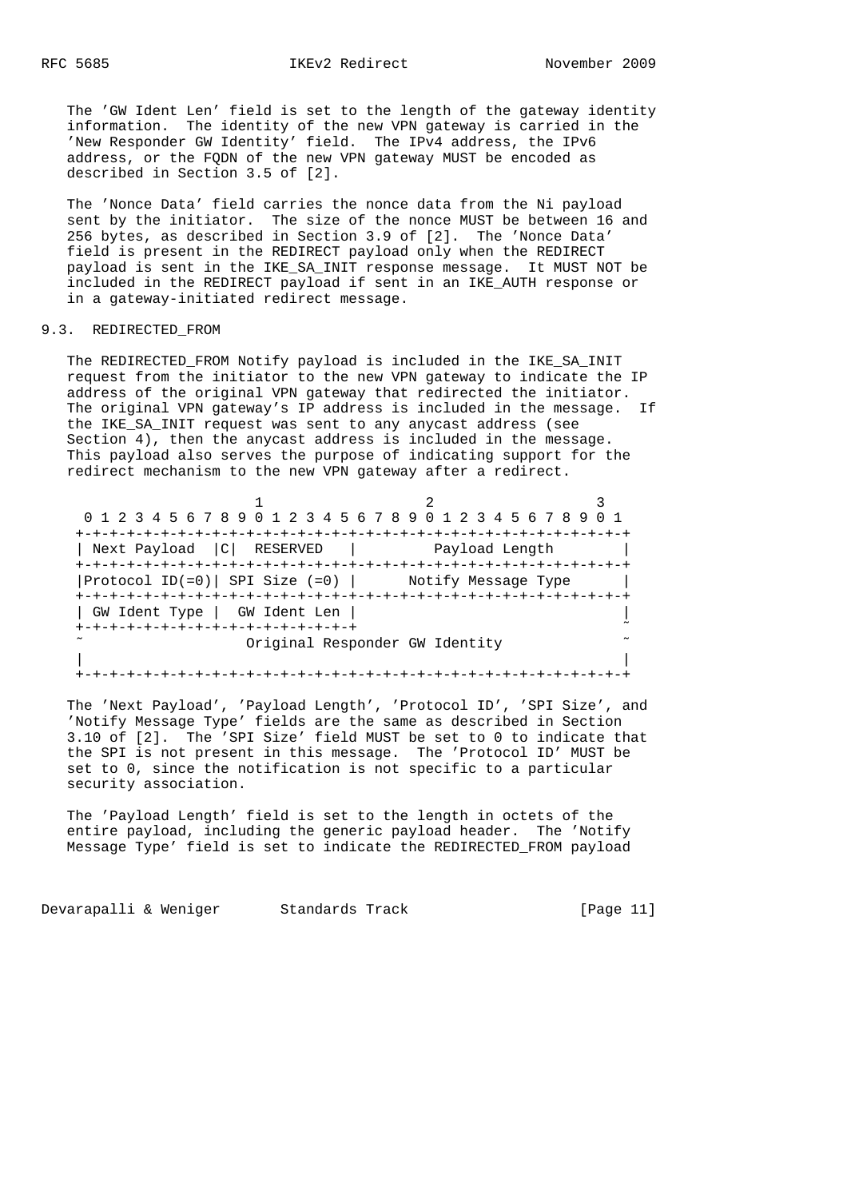The 'GW Ident Len' field is set to the length of the gateway identity information. The identity of the new VPN gateway is carried in the 'New Responder GW Identity' field. The IPv4 address, the IPv6 address, or the FQDN of the new VPN gateway MUST be encoded as described in Section 3.5 of [2].

 The 'Nonce Data' field carries the nonce data from the Ni payload sent by the initiator. The size of the nonce MUST be between 16 and 256 bytes, as described in Section 3.9 of [2]. The 'Nonce Data' field is present in the REDIRECT payload only when the REDIRECT payload is sent in the IKE\_SA\_INIT response message. It MUST NOT be included in the REDIRECT payload if sent in an IKE\_AUTH response or in a gateway-initiated redirect message.

# 9.3. REDIRECTED FROM

 The REDIRECTED\_FROM Notify payload is included in the IKE\_SA\_INIT request from the initiator to the new VPN gateway to indicate the IP address of the original VPN gateway that redirected the initiator. The original VPN gateway's IP address is included in the message. If the IKE\_SA\_INIT request was sent to any anycast address (see Section 4), then the anycast address is included in the message. This payload also serves the purpose of indicating support for the redirect mechanism to the new VPN gateway after a redirect.

|                                                           | 0 1 2 3 4 5 6 7 8 9 0 1 2 3 4 5 6 7 8 9 0 1 2 3 4 5 6 7 8 9 0 1 |
|-----------------------------------------------------------|-----------------------------------------------------------------|
|                                                           |                                                                 |
| Next Payload  C  RESERVED                                 | Payload Length                                                  |
|                                                           |                                                                 |
| $ $ Protocol ID(=0)   SPI Size (=0)   Notify Message Type |                                                                 |
|                                                           |                                                                 |
| GW Ident Type   GW Ident Len                              |                                                                 |
| +-+-+-+-+-+-+-+-+-+-+-+-+-+-+-+-+-+                       |                                                                 |
|                                                           | Original Responder GW Identity                                  |
|                                                           |                                                                 |
|                                                           |                                                                 |

 The 'Next Payload', 'Payload Length', 'Protocol ID', 'SPI Size', and 'Notify Message Type' fields are the same as described in Section 3.10 of [2]. The 'SPI Size' field MUST be set to 0 to indicate that the SPI is not present in this message. The 'Protocol ID' MUST be set to 0, since the notification is not specific to a particular security association.

 The 'Payload Length' field is set to the length in octets of the entire payload, including the generic payload header. The 'Notify Message Type' field is set to indicate the REDIRECTED\_FROM payload

Devarapalli & Weniger Standards Track [Page 11]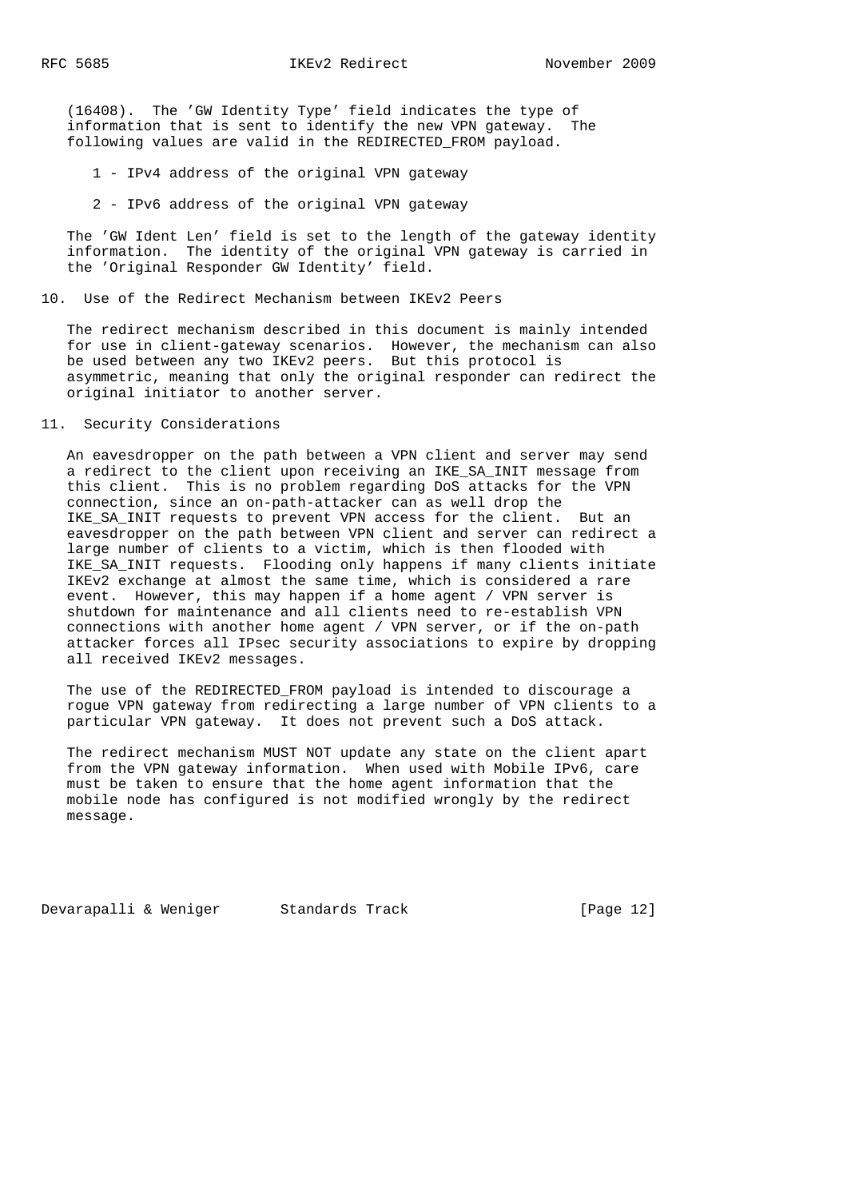(16408). The 'GW Identity Type' field indicates the type of information that is sent to identify the new VPN gateway. The following values are valid in the REDIRECTED\_FROM payload.

1 - IPv4 address of the original VPN gateway

2 - IPv6 address of the original VPN gateway

 The 'GW Ident Len' field is set to the length of the gateway identity information. The identity of the original VPN gateway is carried in the 'Original Responder GW Identity' field.

#### 10. Use of the Redirect Mechanism between IKEv2 Peers

 The redirect mechanism described in this document is mainly intended for use in client-gateway scenarios. However, the mechanism can also be used between any two IKEv2 peers. But this protocol is asymmetric, meaning that only the original responder can redirect the original initiator to another server.

# 11. Security Considerations

 An eavesdropper on the path between a VPN client and server may send a redirect to the client upon receiving an IKE\_SA\_INIT message from this client. This is no problem regarding DoS attacks for the VPN connection, since an on-path-attacker can as well drop the IKE\_SA\_INIT requests to prevent VPN access for the client. But an eavesdropper on the path between VPN client and server can redirect a large number of clients to a victim, which is then flooded with IKE\_SA\_INIT requests. Flooding only happens if many clients initiate IKEv2 exchange at almost the same time, which is considered a rare event. However, this may happen if a home agent / VPN server is shutdown for maintenance and all clients need to re-establish VPN connections with another home agent / VPN server, or if the on-path attacker forces all IPsec security associations to expire by dropping all received IKEv2 messages.

 The use of the REDIRECTED\_FROM payload is intended to discourage a rogue VPN gateway from redirecting a large number of VPN clients to a particular VPN gateway. It does not prevent such a DoS attack.

 The redirect mechanism MUST NOT update any state on the client apart from the VPN gateway information. When used with Mobile IPv6, care must be taken to ensure that the home agent information that the mobile node has configured is not modified wrongly by the redirect message.

Devarapalli & Weniger Standards Track [Page 12]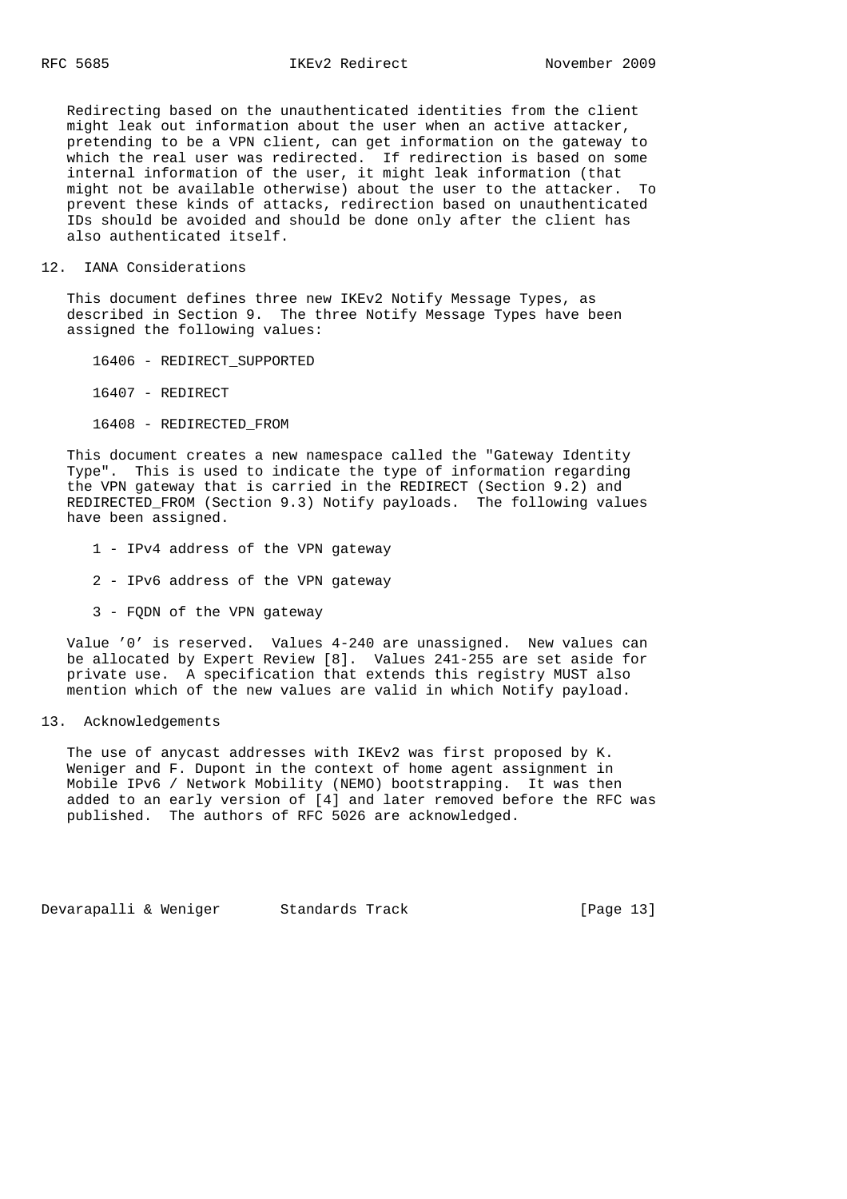Redirecting based on the unauthenticated identities from the client might leak out information about the user when an active attacker, pretending to be a VPN client, can get information on the gateway to which the real user was redirected. If redirection is based on some internal information of the user, it might leak information (that might not be available otherwise) about the user to the attacker. To prevent these kinds of attacks, redirection based on unauthenticated IDs should be avoided and should be done only after the client has also authenticated itself.

#### 12. IANA Considerations

 This document defines three new IKEv2 Notify Message Types, as described in Section 9. The three Notify Message Types have been assigned the following values:

16406 - REDIRECT\_SUPPORTED

16407 - REDIRECT

16408 - REDIRECTED\_FROM

 This document creates a new namespace called the "Gateway Identity Type". This is used to indicate the type of information regarding the VPN gateway that is carried in the REDIRECT (Section 9.2) and REDIRECTED\_FROM (Section 9.3) Notify payloads. The following values have been assigned.

- 1 IPv4 address of the VPN gateway
- 2 IPv6 address of the VPN gateway
- 3 FQDN of the VPN gateway

 Value '0' is reserved. Values 4-240 are unassigned. New values can be allocated by Expert Review [8]. Values 241-255 are set aside for private use. A specification that extends this registry MUST also mention which of the new values are valid in which Notify payload.

#### 13. Acknowledgements

 The use of anycast addresses with IKEv2 was first proposed by K. Weniger and F. Dupont in the context of home agent assignment in Mobile IPv6 / Network Mobility (NEMO) bootstrapping. It was then added to an early version of [4] and later removed before the RFC was published. The authors of RFC 5026 are acknowledged.

Devarapalli & Weniger Standards Track [Page 13]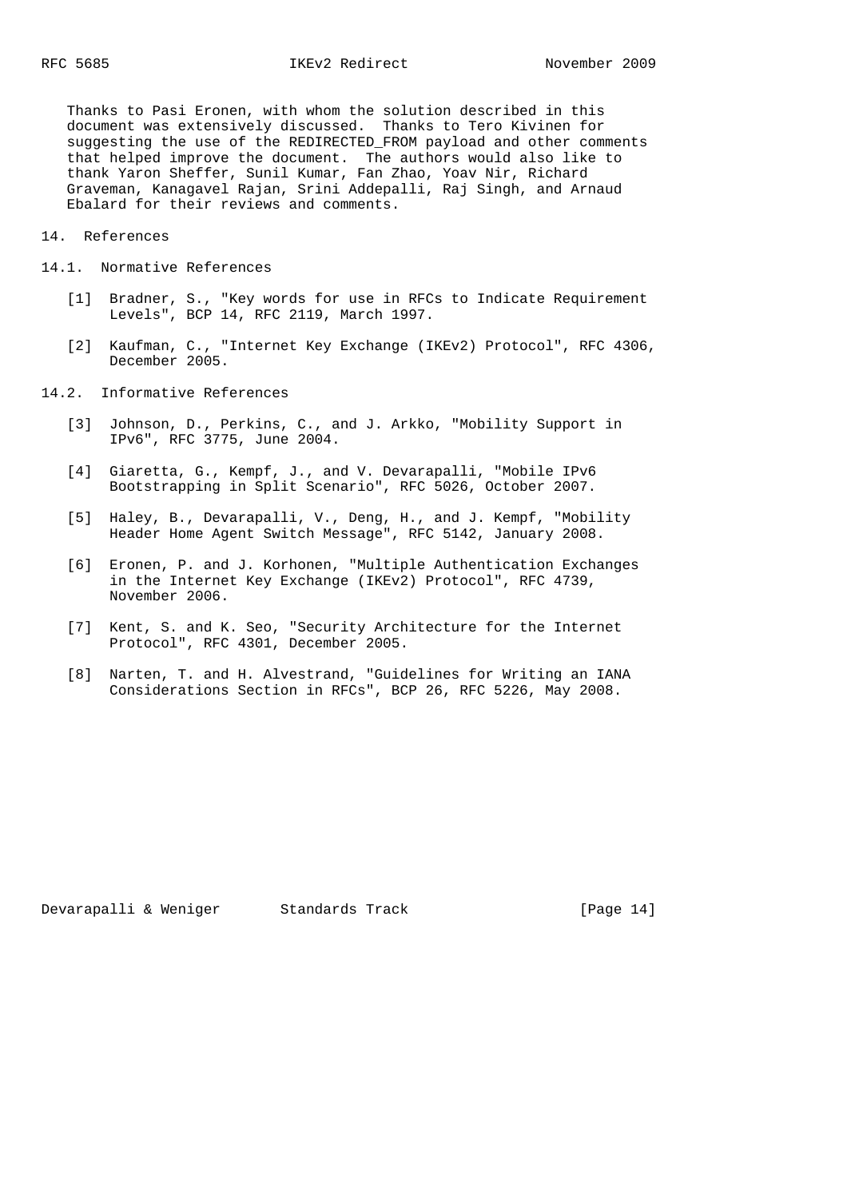Thanks to Pasi Eronen, with whom the solution described in this document was extensively discussed. Thanks to Tero Kivinen for suggesting the use of the REDIRECTED\_FROM payload and other comments that helped improve the document. The authors would also like to thank Yaron Sheffer, Sunil Kumar, Fan Zhao, Yoav Nir, Richard Graveman, Kanagavel Rajan, Srini Addepalli, Raj Singh, and Arnaud Ebalard for their reviews and comments.

- 14. References
- 14.1. Normative References
	- [1] Bradner, S., "Key words for use in RFCs to Indicate Requirement Levels", BCP 14, RFC 2119, March 1997.
	- [2] Kaufman, C., "Internet Key Exchange (IKEv2) Protocol", RFC 4306, December 2005.
- 14.2. Informative References
	- [3] Johnson, D., Perkins, C., and J. Arkko, "Mobility Support in IPv6", RFC 3775, June 2004.
	- [4] Giaretta, G., Kempf, J., and V. Devarapalli, "Mobile IPv6 Bootstrapping in Split Scenario", RFC 5026, October 2007.
	- [5] Haley, B., Devarapalli, V., Deng, H., and J. Kempf, "Mobility Header Home Agent Switch Message", RFC 5142, January 2008.
	- [6] Eronen, P. and J. Korhonen, "Multiple Authentication Exchanges in the Internet Key Exchange (IKEv2) Protocol", RFC 4739, November 2006.
	- [7] Kent, S. and K. Seo, "Security Architecture for the Internet Protocol", RFC 4301, December 2005.
	- [8] Narten, T. and H. Alvestrand, "Guidelines for Writing an IANA Considerations Section in RFCs", BCP 26, RFC 5226, May 2008.

Devarapalli & Weniger Standards Track [Page 14]